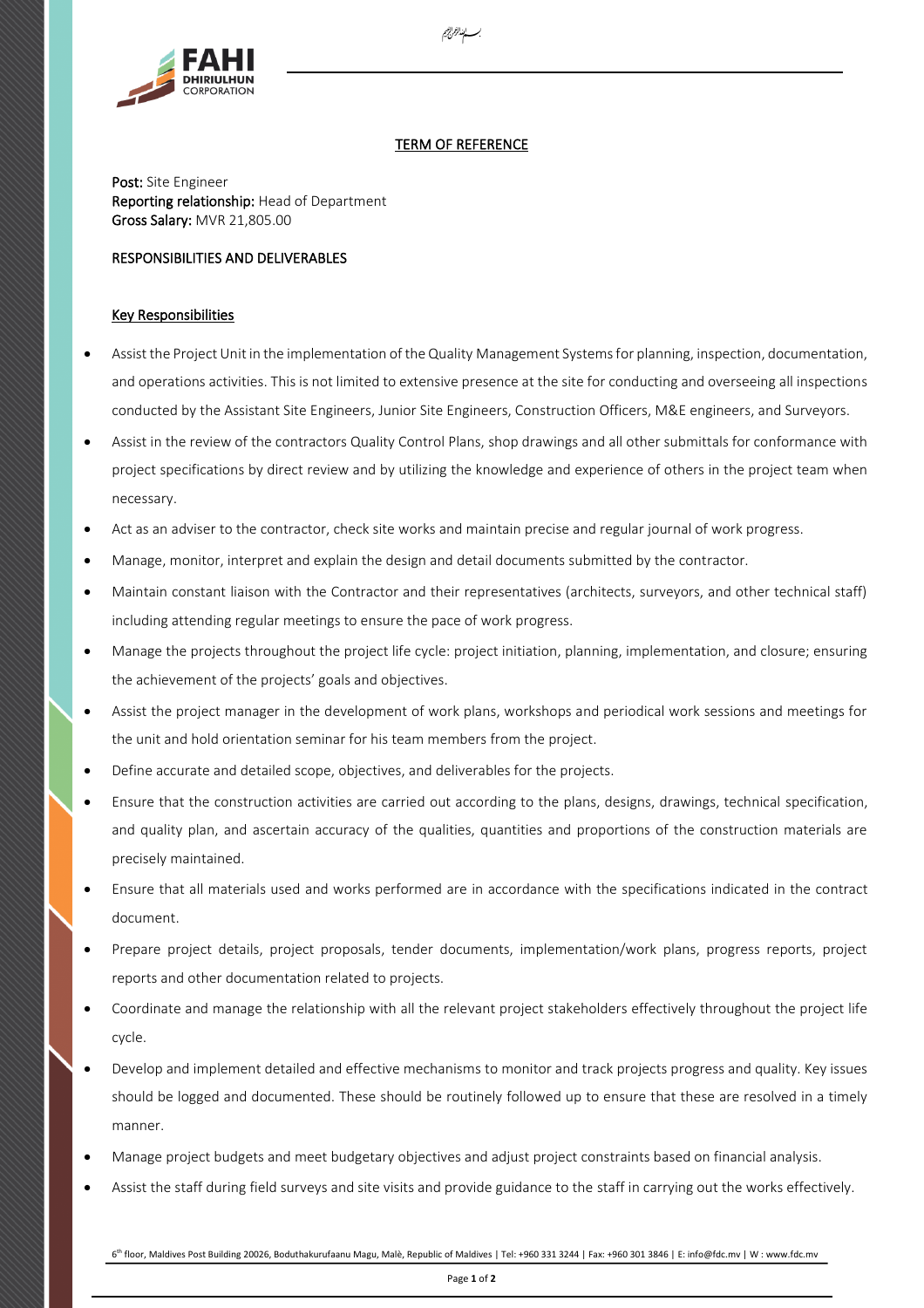

# TERM OF REFERENCE

*`*

Post: Site Engineer Reporting relationship: Head of Department Gross Salary: MVR 21,805.00

## RESPONSIBILITIES AND DELIVERABLES

### Key Responsibilities

- Assist the Project Unit in the implementation of the Quality Management Systems for planning, inspection, documentation, and operations activities. This is not limited to extensive presence at the site for conducting and overseeing all inspections conducted by the Assistant Site Engineers, Junior Site Engineers, Construction Officers, M&E engineers, and Surveyors.
- Assist in the review of the contractors Quality Control Plans, shop drawings and all other submittals for conformance with project specifications by direct review and by utilizing the knowledge and experience of others in the project team when necessary.
- Act as an adviser to the contractor, check site works and maintain precise and regular journal of work progress.
- Manage, monitor, interpret and explain the design and detail documents submitted by the contractor.
- Maintain constant liaison with the Contractor and their representatives (architects, surveyors, and other technical staff) including attending regular meetings to ensure the pace of work progress.
- Manage the projects throughout the project life cycle: project initiation, planning, implementation, and closure; ensuring the achievement of the projects' goals and objectives.
- Assist the project manager in the development of work plans, workshops and periodical work sessions and meetings for the unit and hold orientation seminar for his team members from the project.
- Define accurate and detailed scope, objectives, and deliverables for the projects.
- Ensure that the construction activities are carried out according to the plans, designs, drawings, technical specification, and quality plan, and ascertain accuracy of the qualities, quantities and proportions of the construction materials are precisely maintained.
- Ensure that all materials used and works performed are in accordance with the specifications indicated in the contract document.
- Prepare project details, project proposals, tender documents, implementation/work plans, progress reports, project reports and other documentation related to projects.
- Coordinate and manage the relationship with all the relevant project stakeholders effectively throughout the project life cycle.
- Develop and implement detailed and effective mechanisms to monitor and track projects progress and quality. Key issues should be logged and documented. These should be routinely followed up to ensure that these are resolved in a timely manner.
- Manage project budgets and meet budgetary objectives and adjust project constraints based on financial analysis.
- Assist the staff during field surveys and site visits and provide guidance to the staff in carrying out the works effectively.

6<sup>th</sup> floor, Maldives Post Building 20026, Boduthakurufaanu Magu, Malè, Republic of Maldives | Tel: +960 331 3244 | Fax: +960 301 3846 | E: info@fdc.mv | W : www.fdc.mv